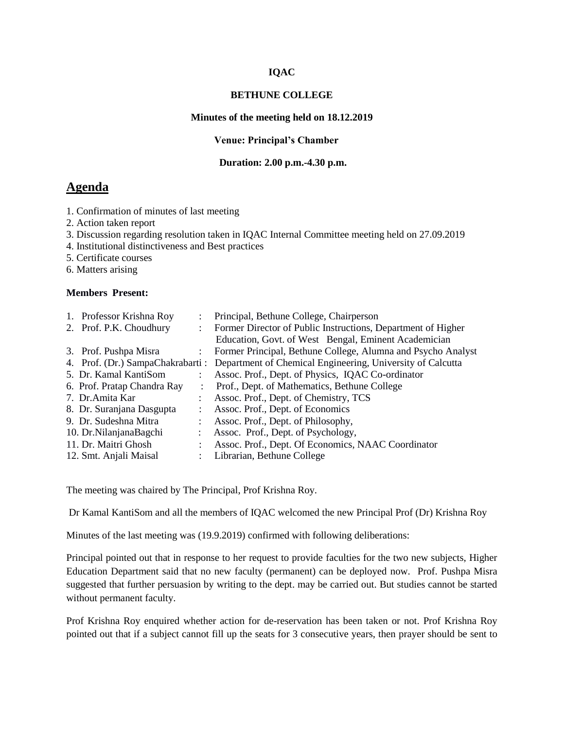## **IQAC**

#### **BETHUNE COLLEGE**

## **Minutes of the meeting held on 18.12.2019**

#### **Venue: Principal's Chamber**

## **Duration: 2.00 p.m.-4.30 p.m.**

# **Agenda**

- 1. Confirmation of minutes of last meeting
- 2. Action taken report
- 3. Discussion regarding resolution taken in IQAC Internal Committee meeting held on 27.09.2019
- 4. Institutional distinctiveness and Best practices
- 5. Certificate courses
- 6. Matters arising

## **Members Present:**

| 1. Professor Krishna Roy    | ÷ | Principal, Bethune College, Chairperson                                                      |
|-----------------------------|---|----------------------------------------------------------------------------------------------|
| 2. Prof. P.K. Choudhury     |   | Former Director of Public Instructions, Department of Higher                                 |
|                             |   | Education, Govt. of West Bengal, Eminent Academician                                         |
| 3. Prof. Pushpa Misra       |   | Former Principal, Bethune College, Alumna and Psycho Analyst                                 |
|                             |   | 4. Prof. (Dr.) SampaChakrabarti : Department of Chemical Engineering, University of Calcutta |
| 5. Dr. Kamal KantiSom       |   | Assoc. Prof., Dept. of Physics, IQAC Co-ordinator                                            |
| 6. Prof. Pratap Chandra Ray |   | Prof., Dept. of Mathematics, Bethune College                                                 |
| 7. Dr. Amita Kar            |   | Assoc. Prof., Dept. of Chemistry, TCS                                                        |
| 8. Dr. Suranjana Dasgupta   |   | Assoc. Prof., Dept. of Economics                                                             |
| 9. Dr. Sudeshna Mitra       |   | Assoc. Prof., Dept. of Philosophy,                                                           |
| 10. Dr.NilanjanaBagchi      |   | Assoc. Prof., Dept. of Psychology,                                                           |
| 11. Dr. Maitri Ghosh        |   | Assoc. Prof., Dept. Of Economics, NAAC Coordinator                                           |
| 12. Smt. Anjali Maisal      |   | Librarian, Bethune College                                                                   |
|                             |   |                                                                                              |

The meeting was chaired by The Principal, Prof Krishna Roy.

Dr Kamal KantiSom and all the members of IQAC welcomed the new Principal Prof (Dr) Krishna Roy

Minutes of the last meeting was (19.9.2019) confirmed with following deliberations:

Principal pointed out that in response to her request to provide faculties for the two new subjects, Higher Education Department said that no new faculty (permanent) can be deployed now. Prof. Pushpa Misra suggested that further persuasion by writing to the dept. may be carried out. But studies cannot be started without permanent faculty.

Prof Krishna Roy enquired whether action for de-reservation has been taken or not. Prof Krishna Roy pointed out that if a subject cannot fill up the seats for 3 consecutive years, then prayer should be sent to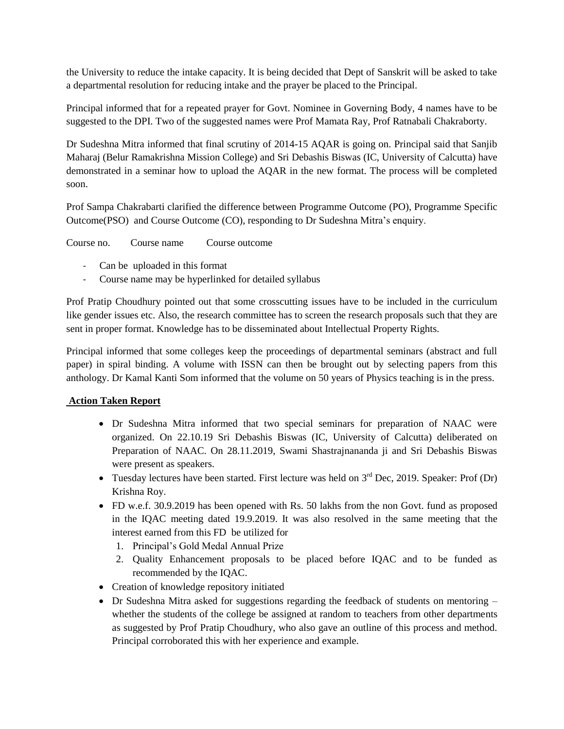the University to reduce the intake capacity. It is being decided that Dept of Sanskrit will be asked to take a departmental resolution for reducing intake and the prayer be placed to the Principal.

Principal informed that for a repeated prayer for Govt. Nominee in Governing Body, 4 names have to be suggested to the DPI. Two of the suggested names were Prof Mamata Ray, Prof Ratnabali Chakraborty.

Dr Sudeshna Mitra informed that final scrutiny of 2014-15 AQAR is going on. Principal said that Sanjib Maharaj (Belur Ramakrishna Mission College) and Sri Debashis Biswas (IC, University of Calcutta) have demonstrated in a seminar how to upload the AQAR in the new format. The process will be completed soon.

Prof Sampa Chakrabarti clarified the difference between Programme Outcome (PO), Programme Specific Outcome(PSO) and Course Outcome (CO), responding to Dr Sudeshna Mitra's enquiry.

Course no. Course name Course outcome

- Can be uploaded in this format
- Course name may be hyperlinked for detailed syllabus

Prof Pratip Choudhury pointed out that some crosscutting issues have to be included in the curriculum like gender issues etc. Also, the research committee has to screen the research proposals such that they are sent in proper format. Knowledge has to be disseminated about Intellectual Property Rights.

Principal informed that some colleges keep the proceedings of departmental seminars (abstract and full paper) in spiral binding. A volume with ISSN can then be brought out by selecting papers from this anthology. Dr Kamal Kanti Som informed that the volume on 50 years of Physics teaching is in the press.

# **Action Taken Report**

- Dr Sudeshna Mitra informed that two special seminars for preparation of NAAC were organized. On 22.10.19 Sri Debashis Biswas (IC, University of Calcutta) deliberated on Preparation of NAAC. On 28.11.2019, Swami Shastrajnananda ji and Sri Debashis Biswas were present as speakers.
- Tuesday lectures have been started. First lecture was held on  $3<sup>rd</sup>$  Dec, 2019. Speaker: Prof (Dr) Krishna Roy.
- FD w.e.f. 30.9.2019 has been opened with Rs. 50 lakhs from the non Govt. fund as proposed in the IQAC meeting dated 19.9.2019. It was also resolved in the same meeting that the interest earned from this FD be utilized for
	- 1. Principal's Gold Medal Annual Prize
	- 2. Quality Enhancement proposals to be placed before IQAC and to be funded as recommended by the IQAC.
- Creation of knowledge repository initiated
- Dr Sudeshna Mitra asked for suggestions regarding the feedback of students on mentoring whether the students of the college be assigned at random to teachers from other departments as suggested by Prof Pratip Choudhury, who also gave an outline of this process and method. Principal corroborated this with her experience and example.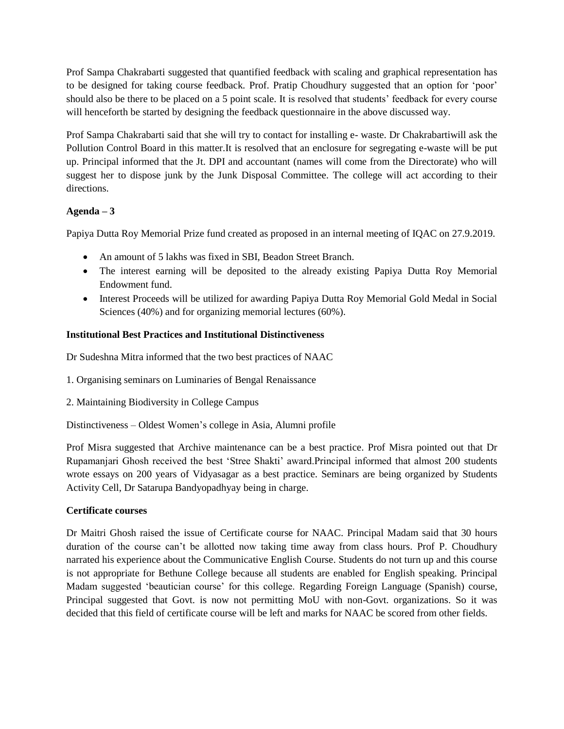Prof Sampa Chakrabarti suggested that quantified feedback with scaling and graphical representation has to be designed for taking course feedback. Prof. Pratip Choudhury suggested that an option for 'poor' should also be there to be placed on a 5 point scale. It is resolved that students' feedback for every course will henceforth be started by designing the feedback questionnaire in the above discussed way.

Prof Sampa Chakrabarti said that she will try to contact for installing e- waste. Dr Chakrabartiwill ask the Pollution Control Board in this matter.It is resolved that an enclosure for segregating e-waste will be put up. Principal informed that the Jt. DPI and accountant (names will come from the Directorate) who will suggest her to dispose junk by the Junk Disposal Committee. The college will act according to their directions.

# **Agenda – 3**

Papiya Dutta Roy Memorial Prize fund created as proposed in an internal meeting of IQAC on 27.9.2019.

- An amount of 5 lakhs was fixed in SBI, Beadon Street Branch.
- The interest earning will be deposited to the already existing Papiya Dutta Roy Memorial Endowment fund.
- Interest Proceeds will be utilized for awarding Papiya Dutta Roy Memorial Gold Medal in Social Sciences (40%) and for organizing memorial lectures (60%).

# **Institutional Best Practices and Institutional Distinctiveness**

Dr Sudeshna Mitra informed that the two best practices of NAAC

- 1. Organising seminars on Luminaries of Bengal Renaissance
- 2. Maintaining Biodiversity in College Campus

Distinctiveness – Oldest Women's college in Asia, Alumni profile

Prof Misra suggested that Archive maintenance can be a best practice. Prof Misra pointed out that Dr Rupamanjari Ghosh received the best 'Stree Shakti' award.Principal informed that almost 200 students wrote essays on 200 years of Vidyasagar as a best practice. Seminars are being organized by Students Activity Cell, Dr Satarupa Bandyopadhyay being in charge.

# **Certificate courses**

Dr Maitri Ghosh raised the issue of Certificate course for NAAC. Principal Madam said that 30 hours duration of the course can't be allotted now taking time away from class hours. Prof P. Choudhury narrated his experience about the Communicative English Course. Students do not turn up and this course is not appropriate for Bethune College because all students are enabled for English speaking. Principal Madam suggested 'beautician course' for this college. Regarding Foreign Language (Spanish) course, Principal suggested that Govt. is now not permitting MoU with non-Govt. organizations. So it was decided that this field of certificate course will be left and marks for NAAC be scored from other fields.